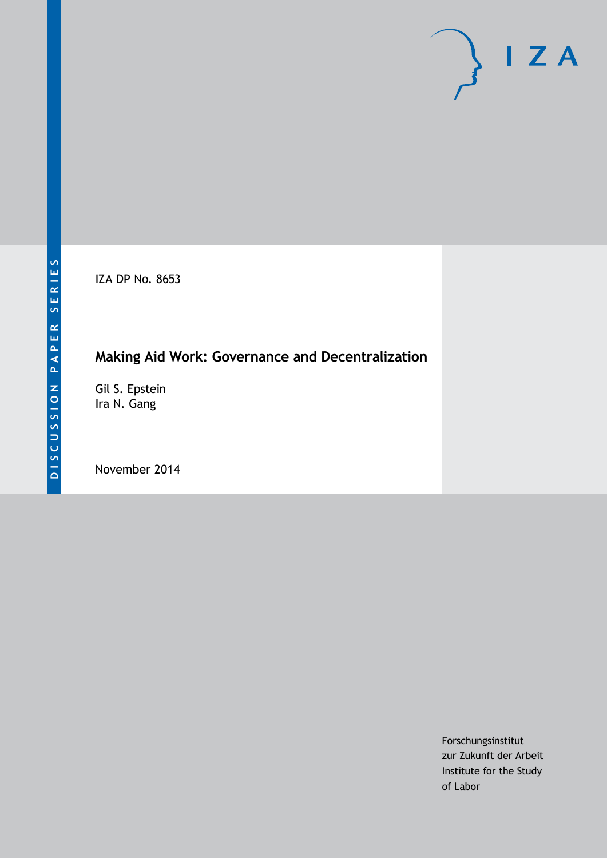IZA DP No. 8653

# **Making Aid Work: Governance and Decentralization**

Gil S. Epstein Ira N. Gang

November 2014

Forschungsinstitut zur Zukunft der Arbeit Institute for the Study of Labor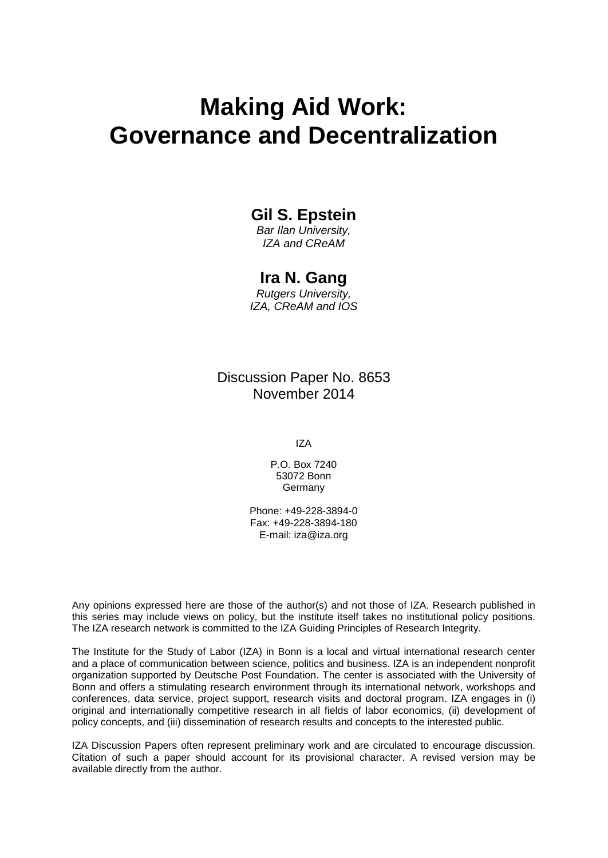# **Making Aid Work: Governance and Decentralization**

### **Gil S. Epstein**

*Bar Ilan University, IZA and CReAM*

### **Ira N. Gang**

*Rutgers University, IZA, CReAM and IOS*

Discussion Paper No. 8653 November 2014

IZA

P.O. Box 7240 53072 Bonn **Germany** 

Phone: +49-228-3894-0 Fax: +49-228-3894-180 E-mail: [iza@iza.org](mailto:iza@iza.org)

Any opinions expressed here are those of the author(s) and not those of IZA. Research published in this series may include views on policy, but the institute itself takes no institutional policy positions. The IZA research network is committed to the IZA Guiding Principles of Research Integrity.

The Institute for the Study of Labor (IZA) in Bonn is a local and virtual international research center and a place of communication between science, politics and business. IZA is an independent nonprofit organization supported by Deutsche Post Foundation. The center is associated with the University of Bonn and offers a stimulating research environment through its international network, workshops and conferences, data service, project support, research visits and doctoral program. IZA engages in (i) original and internationally competitive research in all fields of labor economics, (ii) development of policy concepts, and (iii) dissemination of research results and concepts to the interested public.

IZA Discussion Papers often represent preliminary work and are circulated to encourage discussion. Citation of such a paper should account for its provisional character. A revised version may be available directly from the author.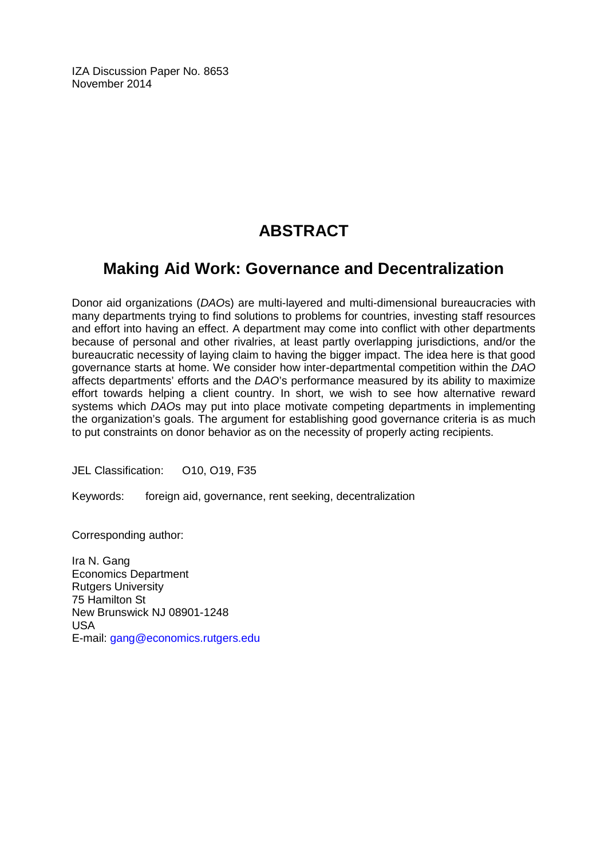IZA Discussion Paper No. 8653 November 2014

# **ABSTRACT**

## **Making Aid Work: Governance and Decentralization**

Donor aid organizations (*DAO*s) are multi-layered and multi-dimensional bureaucracies with many departments trying to find solutions to problems for countries, investing staff resources and effort into having an effect. A department may come into conflict with other departments because of personal and other rivalries, at least partly overlapping jurisdictions, and/or the bureaucratic necessity of laying claim to having the bigger impact. The idea here is that good governance starts at home. We consider how inter-departmental competition within the *DAO* affects departments' efforts and the *DAO*'s performance measured by its ability to maximize effort towards helping a client country. In short, we wish to see how alternative reward systems which *DAO*s may put into place motivate competing departments in implementing the organization's goals. The argument for establishing good governance criteria is as much to put constraints on donor behavior as on the necessity of properly acting recipients.

JEL Classification: 010, 019, F35

Keywords: foreign aid, governance, rent seeking, decentralization

Corresponding author:

Ira N. Gang Economics Department **Rutgers University** 75 Hamilton St New Brunswick NJ 08901-1248 USA E-mail: [gang@economics.rutgers.edu](mailto:gang@economics.rutgers.edu)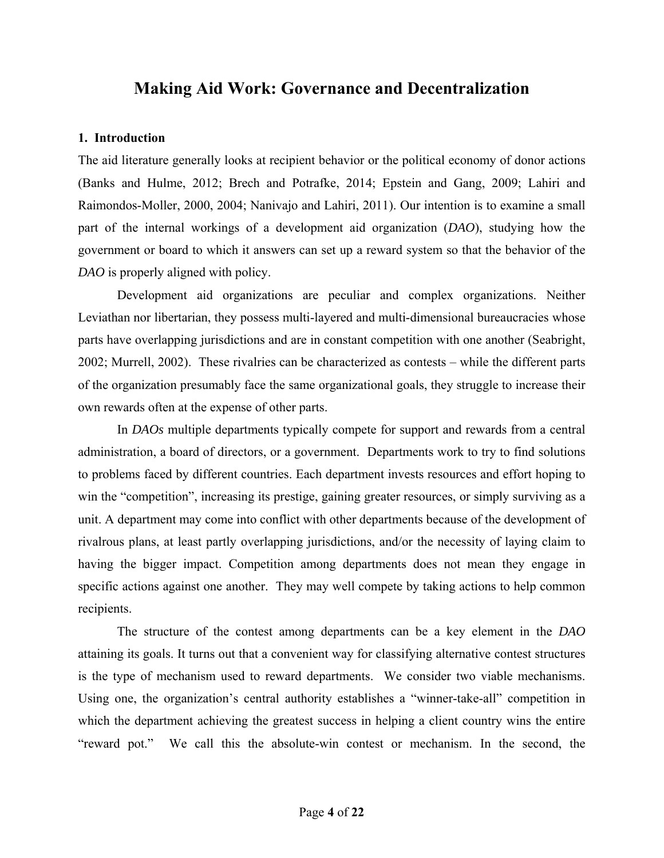### **Making Aid Work: Governance and Decentralization**

#### **1. Introduction**

The aid literature generally looks at recipient behavior or the political economy of donor actions (Banks and Hulme, 2012; Brech and Potrafke, 2014; Epstein and Gang, 2009; Lahiri and Raimondos-Moller, 2000, 2004; Nanivajo and Lahiri, 2011). Our intention is to examine a small part of the internal workings of a development aid organization (*DAO*), studying how the government or board to which it answers can set up a reward system so that the behavior of the *DAO* is properly aligned with policy.

Development aid organizations are peculiar and complex organizations. Neither Leviathan nor libertarian, they possess multi-layered and multi-dimensional bureaucracies whose parts have overlapping jurisdictions and are in constant competition with one another (Seabright, 2002; Murrell, 2002). These rivalries can be characterized as contests – while the different parts of the organization presumably face the same organizational goals, they struggle to increase their own rewards often at the expense of other parts.

 In *DAOs* multiple departments typically compete for support and rewards from a central administration, a board of directors, or a government. Departments work to try to find solutions to problems faced by different countries. Each department invests resources and effort hoping to win the "competition", increasing its prestige, gaining greater resources, or simply surviving as a unit. A department may come into conflict with other departments because of the development of rivalrous plans, at least partly overlapping jurisdictions, and/or the necessity of laying claim to having the bigger impact. Competition among departments does not mean they engage in specific actions against one another. They may well compete by taking actions to help common recipients.

 The structure of the contest among departments can be a key element in the *DAO* attaining its goals. It turns out that a convenient way for classifying alternative contest structures is the type of mechanism used to reward departments. We consider two viable mechanisms. Using one, the organization's central authority establishes a "winner-take-all" competition in which the department achieving the greatest success in helping a client country wins the entire "reward pot." We call this the absolute-win contest or mechanism. In the second, the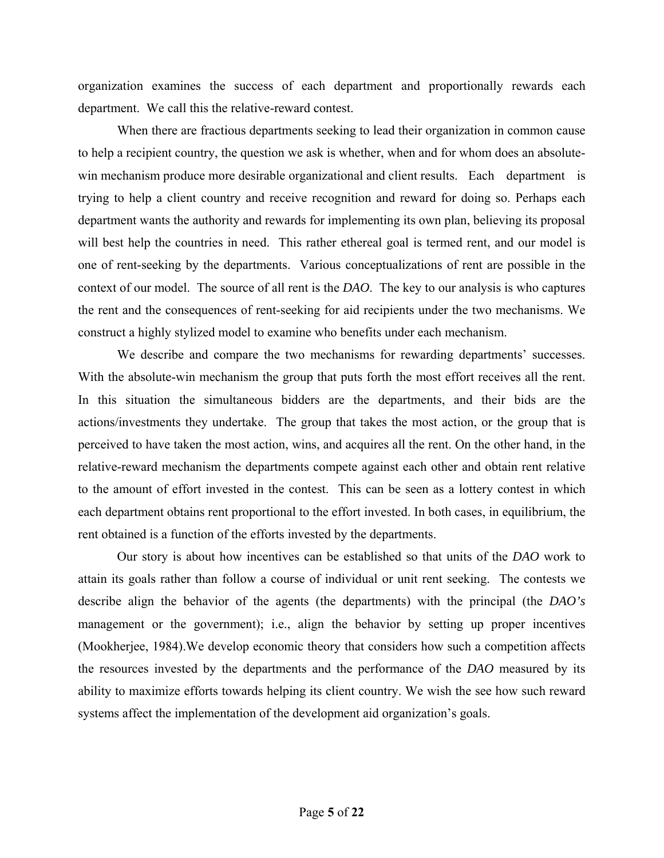organization examines the success of each department and proportionally rewards each department. We call this the relative-reward contest.

 When there are fractious departments seeking to lead their organization in common cause to help a recipient country, the question we ask is whether, when and for whom does an absolutewin mechanism produce more desirable organizational and client results. Each department is trying to help a client country and receive recognition and reward for doing so. Perhaps each department wants the authority and rewards for implementing its own plan, believing its proposal will best help the countries in need. This rather ethereal goal is termed rent, and our model is one of rent-seeking by the departments. Various conceptualizations of rent are possible in the context of our model. The source of all rent is the *DAO*. The key to our analysis is who captures the rent and the consequences of rent-seeking for aid recipients under the two mechanisms. We construct a highly stylized model to examine who benefits under each mechanism.

 We describe and compare the two mechanisms for rewarding departments' successes. With the absolute-win mechanism the group that puts forth the most effort receives all the rent. In this situation the simultaneous bidders are the departments, and their bids are the actions/investments they undertake. The group that takes the most action, or the group that is perceived to have taken the most action, wins, and acquires all the rent. On the other hand, in the relative-reward mechanism the departments compete against each other and obtain rent relative to the amount of effort invested in the contest. This can be seen as a lottery contest in which each department obtains rent proportional to the effort invested. In both cases, in equilibrium, the rent obtained is a function of the efforts invested by the departments.

 Our story is about how incentives can be established so that units of the *DAO* work to attain its goals rather than follow a course of individual or unit rent seeking. The contests we describe align the behavior of the agents (the departments) with the principal (the *DAO's* management or the government); i.e., align the behavior by setting up proper incentives (Mookherjee, 1984).We develop economic theory that considers how such a competition affects the resources invested by the departments and the performance of the *DAO* measured by its ability to maximize efforts towards helping its client country. We wish the see how such reward systems affect the implementation of the development aid organization's goals.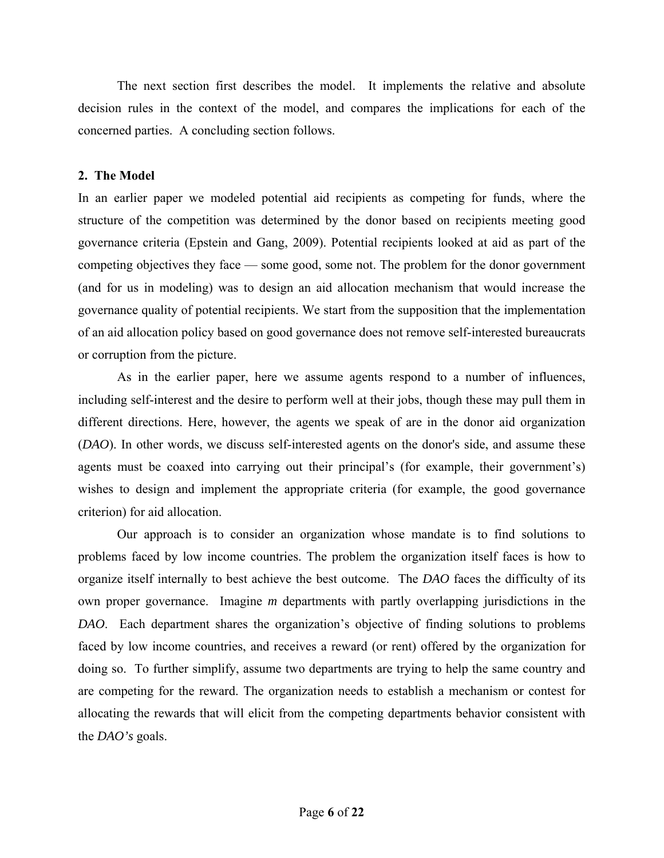The next section first describes the model. It implements the relative and absolute decision rules in the context of the model, and compares the implications for each of the concerned parties. A concluding section follows.

#### **2. The Model**

In an earlier paper we modeled potential aid recipients as competing for funds, where the structure of the competition was determined by the donor based on recipients meeting good governance criteria (Epstein and Gang, 2009). Potential recipients looked at aid as part of the competing objectives they face — some good, some not. The problem for the donor government (and for us in modeling) was to design an aid allocation mechanism that would increase the governance quality of potential recipients. We start from the supposition that the implementation of an aid allocation policy based on good governance does not remove self-interested bureaucrats or corruption from the picture.

As in the earlier paper, here we assume agents respond to a number of influences, including self-interest and the desire to perform well at their jobs, though these may pull them in different directions. Here, however, the agents we speak of are in the donor aid organization (*DAO*). In other words, we discuss self-interested agents on the donor's side, and assume these agents must be coaxed into carrying out their principal's (for example, their government's) wishes to design and implement the appropriate criteria (for example, the good governance criterion) for aid allocation.

Our approach is to consider an organization whose mandate is to find solutions to problems faced by low income countries. The problem the organization itself faces is how to organize itself internally to best achieve the best outcome. The *DAO* faces the difficulty of its own proper governance. Imagine *m* departments with partly overlapping jurisdictions in the *DAO*. Each department shares the organization's objective of finding solutions to problems faced by low income countries, and receives a reward (or rent) offered by the organization for doing so. To further simplify, assume two departments are trying to help the same country and are competing for the reward. The organization needs to establish a mechanism or contest for allocating the rewards that will elicit from the competing departments behavior consistent with the *DAO's* goals.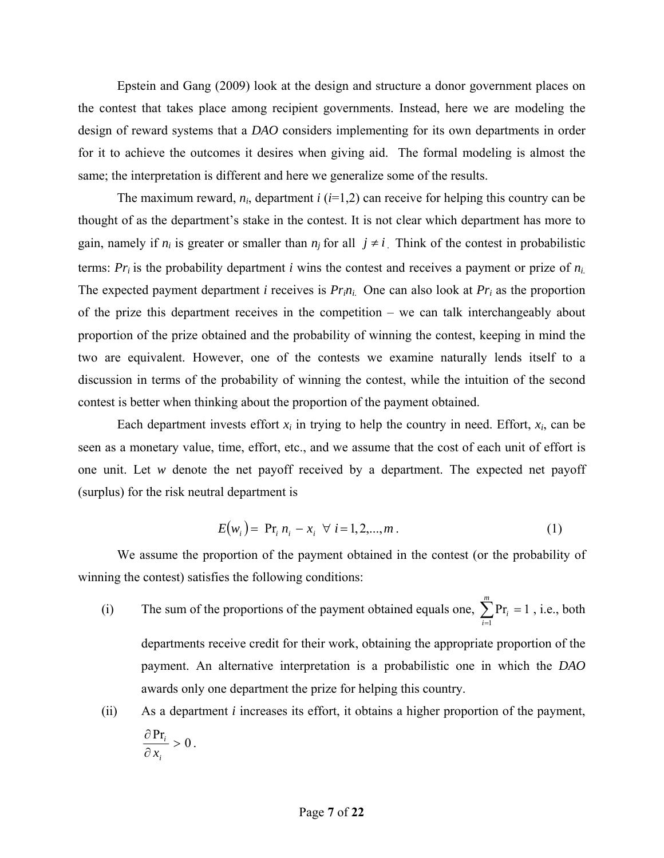Epstein and Gang (2009) look at the design and structure a donor government places on the contest that takes place among recipient governments. Instead, here we are modeling the design of reward systems that a *DAO* considers implementing for its own departments in order for it to achieve the outcomes it desires when giving aid. The formal modeling is almost the same; the interpretation is different and here we generalize some of the results.

The maximum reward,  $n_i$ , department  $i$  ( $i=1,2$ ) can receive for helping this country can be thought of as the department's stake in the contest. It is not clear which department has more to gain, namely if  $n_i$  is greater or smaller than  $n_j$  for all  $j \neq i$ . Think of the contest in probabilistic terms:  $Pr_i$  is the probability department *i* wins the contest and receives a payment or prize of  $n_i$ . The expected payment department *i* receives is  $Pr_i n_i$ . One can also look at  $Pr_i$  as the proportion of the prize this department receives in the competition – we can talk interchangeably about proportion of the prize obtained and the probability of winning the contest, keeping in mind the two are equivalent. However, one of the contests we examine naturally lends itself to a discussion in terms of the probability of winning the contest, while the intuition of the second contest is better when thinking about the proportion of the payment obtained.

Each department invests effort  $x_i$  in trying to help the country in need. Effort,  $x_i$ , can be seen as a monetary value, time, effort, etc., and we assume that the cost of each unit of effort is one unit. Let *w* denote the net payoff received by a department. The expected net payoff (surplus) for the risk neutral department is

$$
E(w_i) = \Pr_i n_i - x_i \quad \forall \ i = 1, 2, ..., m \,. \tag{1}
$$

 We assume the proportion of the payment obtained in the contest (or the probability of winning the contest) satisfies the following conditions:

- (i) The sum of the proportions of the payment obtained equals one,  $\sum \Pr_i = 1$  $\sum_{i=1}^m \text{Pr}_i =$ *i*  $i<sub>i</sub> = 1$ , i.e., both departments receive credit for their work, obtaining the appropriate proportion of the payment. An alternative interpretation is a probabilistic one in which the *DAO* awards only one department the prize for helping this country.
- (ii) As a department *i* increases its effort, it obtains a higher proportion of the payment,  $\frac{\mathrm{Pr}_{i}}{n} > 0$  $\partial$  $\partial$ *i*  $\frac{1}{x_i} > 0$ .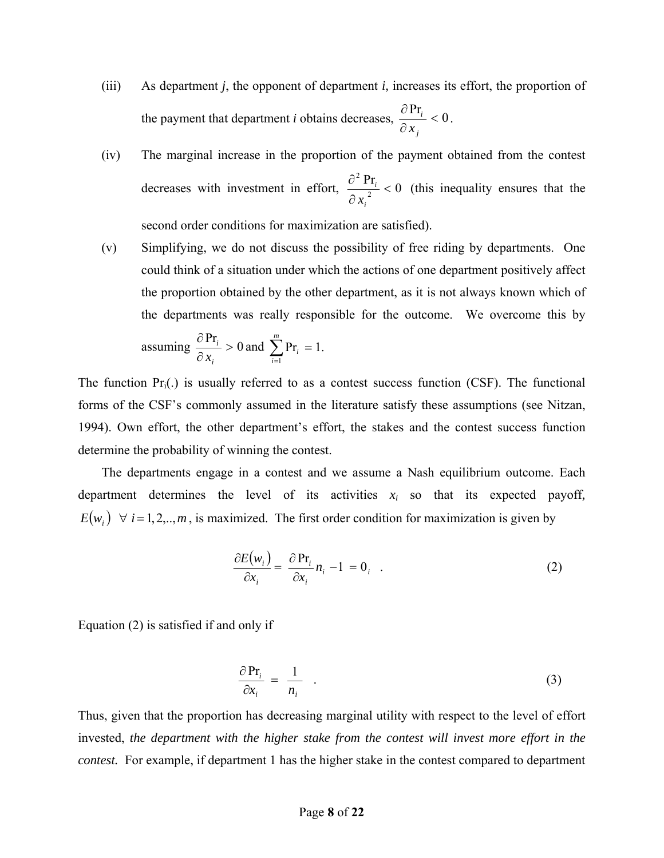- (iii) As department *j*, the opponent of department *i,* increases its effort, the proportion of the payment that department *i* obtains decreases,  $\frac{\partial Pr_i}{\partial r} < 0$  $\partial$  $\partial$ *j*  $\frac{1}{x_i}$  < 0.
- (iv) The marginal increase in the proportion of the payment obtained from the contest decreases with investment in effort,  $\frac{\partial^2 P_{f_i}}{\partial r_i^2} < 0$ 2  $\lt$  $\partial$  $\partial$ *i i x* (this inequality ensures that the second order conditions for maximization are satisfied).
- (v) Simplifying, we do not discuss the possibility of free riding by departments. One could think of a situation under which the actions of one department positively affect the proportion obtained by the other department, as it is not always known which of the departments was really responsible for the outcome. We overcome this by

assuming 
$$
\frac{\partial Pr_i}{\partial x_i} > 0
$$
 and  $\sum_{i=1}^{m} Pr_i = 1$ .

The function  $Pr_i(.)$  is usually referred to as a contest success function (CSF). The functional forms of the CSF's commonly assumed in the literature satisfy these assumptions (see Nitzan, 1994). Own effort, the other department's effort, the stakes and the contest success function determine the probability of winning the contest.

The departments engage in a contest and we assume a Nash equilibrium outcome. Each department determines the level of its activities  $x_i$  so that its expected payoff,  $E(w_i)$   $\forall i = 1, 2, ..., m$ , is maximized. The first order condition for maximization is given by

$$
\frac{\partial E(w_i)}{\partial x_i} = \frac{\partial \Pr_i}{\partial x_i} n_i - 1 = 0_i \quad . \tag{2}
$$

Equation (2) is satisfied if and only if

$$
\frac{\partial \Pr_i}{\partial x_i} = \frac{1}{n_i} \quad . \tag{3}
$$

Thus, given that the proportion has decreasing marginal utility with respect to the level of effort invested, *the department with the higher stake from the contest will invest more effort in the contest.* For example, if department 1 has the higher stake in the contest compared to department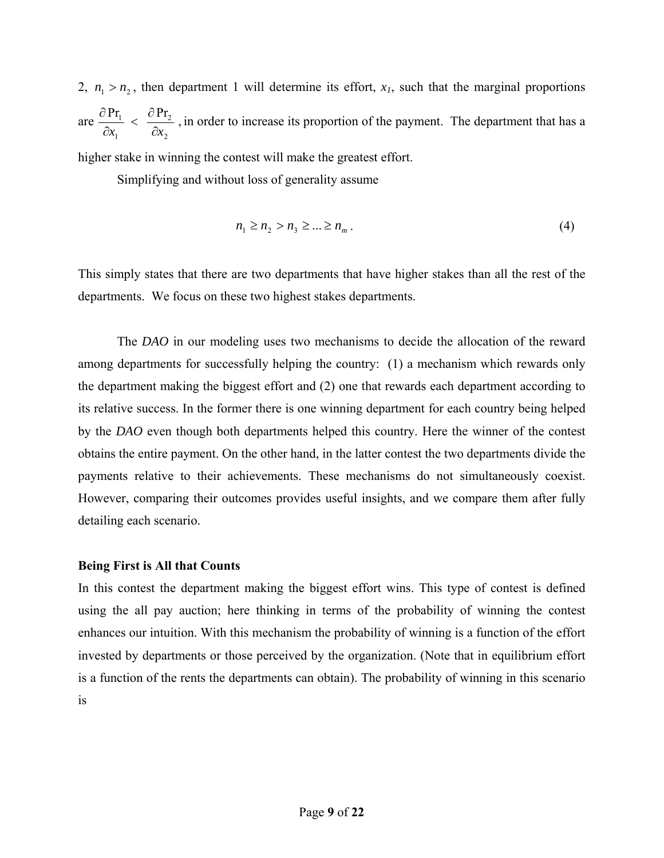2,  $n_1 > n_2$ , then department 1 will determine its effort,  $x_1$ , such that the marginal proportions are  $\frac{\partial Pr_1}{\partial r_1}$  <  $\frac{\partial Pr_2}{\partial r_2}$ , 2 2 1 1  $x_1$   $\partial x$  $\begin{array}{ccc} & \stackrel{\frown}{\circ} & \\ & & \stackrel{\frown}{\circ} \end{array}$  $\partial$  $\frac{\partial Pr_1}{\partial r_1}$  <  $\frac{\partial Pr_2}{\partial r_2}$ , in order to increase its proportion of the payment. The department that has a

higher stake in winning the contest will make the greatest effort.

Simplifying and without loss of generality assume

$$
n_1 \ge n_2 > n_3 \ge \dots \ge n_m \,. \tag{4}
$$

This simply states that there are two departments that have higher stakes than all the rest of the departments. We focus on these two highest stakes departments.

 The *DAO* in our modeling uses two mechanisms to decide the allocation of the reward among departments for successfully helping the country: (1) a mechanism which rewards only the department making the biggest effort and (2) one that rewards each department according to its relative success. In the former there is one winning department for each country being helped by the *DAO* even though both departments helped this country. Here the winner of the contest obtains the entire payment. On the other hand, in the latter contest the two departments divide the payments relative to their achievements. These mechanisms do not simultaneously coexist. However, comparing their outcomes provides useful insights, and we compare them after fully detailing each scenario.

#### **Being First is All that Counts**

In this contest the department making the biggest effort wins. This type of contest is defined using the all pay auction; here thinking in terms of the probability of winning the contest enhances our intuition. With this mechanism the probability of winning is a function of the effort invested by departments or those perceived by the organization. (Note that in equilibrium effort is a function of the rents the departments can obtain). The probability of winning in this scenario is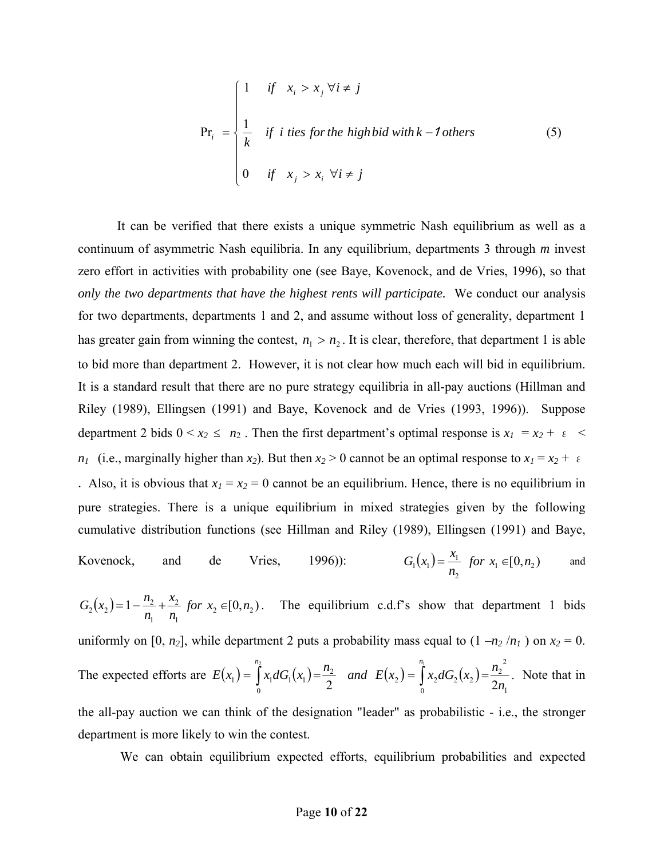$$
\Pr_{i} = \begin{cases}\n1 & \text{if } x_{i} > x_{j} \forall i \neq j \\
\frac{1}{k} & \text{if } i \text{ ties for the high bid with } k - 1 \text{ others} \\
0 & \text{if } x_{j} > x_{i} \forall i \neq j\n\end{cases}
$$
\n(5)

It can be verified that there exists a unique symmetric Nash equilibrium as well as a continuum of asymmetric Nash equilibria. In any equilibrium, departments 3 through *m* invest zero effort in activities with probability one (see Baye, Kovenock, and de Vries, 1996), so that *only the two departments that have the highest rents will participate.* We conduct our analysis for two departments, departments 1 and 2, and assume without loss of generality, department 1 has greater gain from winning the contest,  $n_1 > n_2$ . It is clear, therefore, that department 1 is able to bid more than department 2. However, it is not clear how much each will bid in equilibrium. It is a standard result that there are no pure strategy equilibria in all-pay auctions (Hillman and Riley (1989), Ellingsen (1991) and Baye, Kovenock and de Vries (1993, 1996)). Suppose department 2 bids  $0 < x_2 \le n_2$ . Then the first department's optimal response is  $x_1 = x_2 + \varepsilon <$ *n<sub>1</sub>* (i.e., marginally higher than *x*<sub>2</sub>). But then  $x_2 > 0$  cannot be an optimal response to  $x_1 = x_2 + \varepsilon$ . Also, it is obvious that  $x_1 = x_2 = 0$  cannot be an equilibrium. Hence, there is no equilibrium in pure strategies. There is a unique equilibrium in mixed strategies given by the following cumulative distribution functions (see Hillman and Riley (1989), Ellingsen (1991) and Baye,

Kovenock, and de Vries, 1996)): 
$$
G_1(x_1) = \frac{x_1}{n_2}
$$
 for  $x_1 \in [0, n_2)$  and

 $(x_2) = 1 - \frac{n_2}{2} + \frac{n_2}{2}$  for  $x_2 \in [0, n_2)$ 1 2 1  $\binom{n_2}{2} = 1 - \frac{n_2}{n_1} + \frac{n_2}{n_1}$  for  $x_2 \in [0, n]$ *x n*  $G_2(x_2) = 1 - \frac{n_2}{n_2} + \frac{x_2}{n_2}$  *for*  $x_2 \in [0, n_2)$ . The equilibrium c.d.f's show that department 1 bids uniformly on [0,  $n_2$ ], while department 2 puts a probability mass equal to  $(1 - n_2/n_1)$  on  $x_2 = 0$ . The expected efforts are  $E(x_1) = |x_1 dG_1(x_1) = \frac{n_2}{2}$  and  $E(x_2) = |x_2 dG_2(x_2)|$ 1 2 2 0 2 and  $E(x_2) = \int x_2 dG_2(x_2)$  $\frac{1}{2}$   $\int_{0}^{4}$   $\frac{\mu_1 \mu_2 \mu_1}{2}$   $\int_{0}^{4}$   $\frac{\mu_1 \mu_2 \mu_3}{2}$   $\int_{0}^{4}$   $\frac{\mu_2 \mu_3 \mu_4}{2}$ 2 and  $\frac{n_1}{2}$ *n*  $E(x_1) = \int_0^{n_2} x_1 dG_1(x_1) dx = \frac{n_2}{2}$  *and*  $E(x_2) = \int_0^{n_1} x_2 dG_2(x_2) dx = \frac{n_2}{2}$  $= \int x_1 dG_1(x_1) = \frac{n_2}{2}$  and  $E(x_2) = \int x_2 dG_2(x_2) = \frac{n_2}{2n}$ . Note that in

the all-pay auction we can think of the designation "leader" as probabilistic - i.e., the stronger department is more likely to win the contest.

We can obtain equilibrium expected efforts, equilibrium probabilities and expected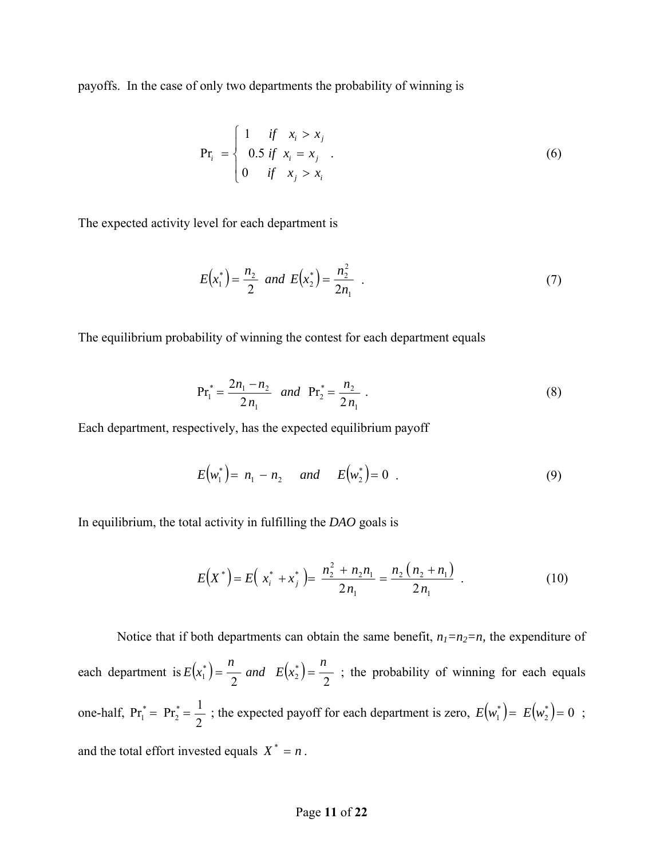payoffs. In the case of only two departments the probability of winning is

$$
\Pr_{i} = \begin{cases} 1 & \text{if } x_{i} > x_{j} \\ 0.5 & \text{if } x_{i} = x_{j} \\ 0 & \text{if } x_{j} > x_{i} \end{cases} \tag{6}
$$

The expected activity level for each department is

$$
E(x_1^*) = \frac{n_2}{2} \quad and \quad E(x_2^*) = \frac{n_2^2}{2n_1} \quad . \tag{7}
$$

The equilibrium probability of winning the contest for each department equals

$$
Pr_1^* = \frac{2n_1 - n_2}{2n_1} \quad and \quad Pr_2^* = \frac{n_2}{2n_1} \ . \tag{8}
$$

Each department, respectively, has the expected equilibrium payoff

$$
E(w_1^*) = n_1 - n_2 \quad and \quad E(w_2^*) = 0 \quad . \tag{9}
$$

In equilibrium, the total activity in fulfilling the *DAO* goals is

$$
E(X^*) = E\left(x_i^* + x_j^*\right) = \frac{n_2^2 + n_2 n_1}{2n_1} = \frac{n_2\left(n_2 + n_1\right)}{2n_1} \tag{10}
$$

Notice that if both departments can obtain the same benefit,  $n_1=n_2=n$ , the expenditure of each department is  $E(x_1^*) = \frac{n}{2}$  and  $E(x_2^*) = \frac{n}{2}$ 2 \* 1 *n and*  $E(x)$ *n*  $E(x_i^*) =$  and  $E(x_i^*) =$ ; the probability of winning for each equals one-half,  $Pr_1^* = Pr_2^* = \frac{1}{2}$  $\sum_{i=1}^{8}$  =  $\sum_{i=1}^{8}$ ; the expected payoff for each department is zero,  $E(w_1^*) = E(w_2^*) = 0$ ; and the total effort invested equals  $X^* = n$ .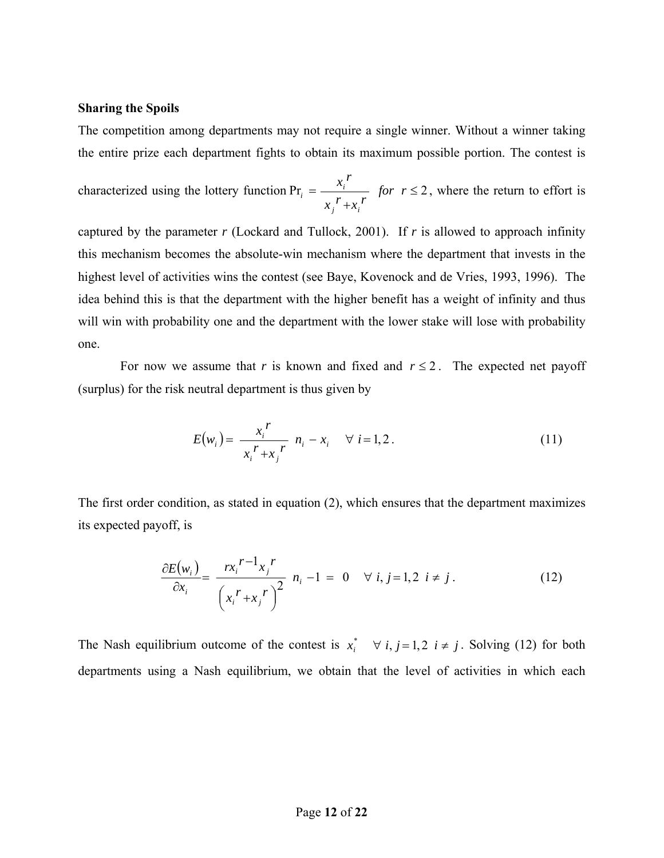#### **Sharing the Spoils**

The competition among departments may not require a single winner. Without a winner taking the entire prize each department fights to obtain its maximum possible portion. The contest is

characterized using the lottery function  $Pr_i = \frac{x_i}{r}$  for  $r \leq 2$  $\ddot{}$  $=$   $\frac{\lambda_i}{\sqrt{r}}$  *for r*  $x_i^r$  +  $x_i^r$  $x_i^r$  $j$   $\tau \lambda_i$  $\sum_i$  =  $\frac{x_i}{r}$  *for*  $r \le 2$ , where the return to effort is

captured by the parameter *r* (Lockard and Tullock, 2001). If *r* is allowed to approach infinity this mechanism becomes the absolute-win mechanism where the department that invests in the highest level of activities wins the contest (see Baye, Kovenock and de Vries, 1993, 1996). The idea behind this is that the department with the higher benefit has a weight of infinity and thus will win with probability one and the department with the lower stake will lose with probability one.

For now we assume that *r* is known and fixed and  $r \le 2$ . The expected net payoff (surplus) for the risk neutral department is thus given by

$$
E(w_i) = \frac{x_i^r}{x_i^r + x_j^r} \ n_i - x_i \quad \forall \ i = 1, 2. \tag{11}
$$

The first order condition, as stated in equation (2), which ensures that the department maximizes its expected payoff, is

$$
\frac{\partial E(w_i)}{\partial x_i} = \frac{rx_i^{r-1}x_j^{r}}{\left(x_i^{r}+x_j^{r}\right)^2} \quad n_i - 1 = 0 \quad \forall \ i, j = 1, 2 \ i \neq j. \tag{12}
$$

The Nash equilibrium outcome of the contest is  $x_i^*$   $\forall i, j = 1, 2$   $i \neq j$ . Solving (12) for both departments using a Nash equilibrium, we obtain that the level of activities in which each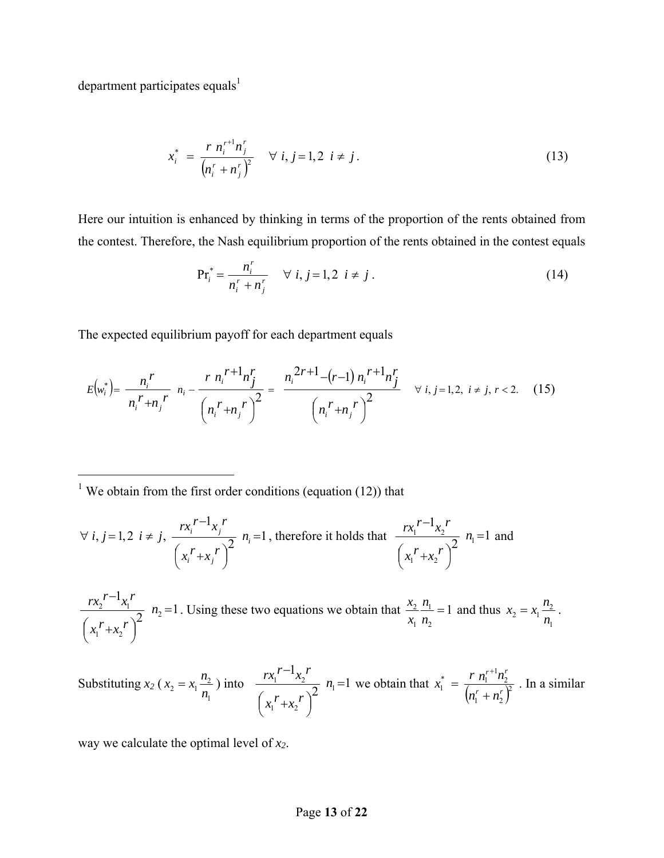department participates equals<sup>1</sup>

1

$$
x_i^* = \frac{r \; n_i^{r+1} n_j^r}{\left(n_i^r + n_j^r\right)^2} \quad \forall \; i, j = 1, 2 \; i \neq j \,. \tag{13}
$$

Here our intuition is enhanced by thinking in terms of the proportion of the rents obtained from the contest. Therefore, the Nash equilibrium proportion of the rents obtained in the contest equals

$$
Pr_{i}^{*} = \frac{n_{i}^{r}}{n_{i}^{r} + n_{j}^{r}} \quad \forall \ i, j = 1, 2 \ i \neq j.
$$
 (14)

The expected equilibrium payoff for each department equals

$$
E(w_i^*) = \frac{n_i^r}{n_i^r + n_j^r} n_i - \frac{r n_i^{r+1} n_j^r}{\left(n_i^r + n_j^r\right)^2} = \frac{n_i^{2r+1} - (r-1) n_i^{r+1} n_j^r}{\left(n_i^r + n_j^r\right)^2} \quad \forall i, j = 1, 2, i \neq j, r < 2. \tag{15}
$$

<sup>1</sup> We obtain from the first order conditions (equation (12)) that

$$
\forall i, j = 1, 2 \ i \neq j, \ \frac{rx_i^{r-1}x_j^{r}}{\left(x_i^r + x_j^r\right)^2} \ n_i = 1, \text{ therefore it holds that } \frac{rx_i^{r-1}x_j^{r}}{\left(x_i^r + x_j^r\right)^2} \ n_i = 1 \text{ and}
$$

$$
\frac{rx_2^{r-1}x_1^r}{\left(x_1^r + x_2^r\right)^2}
$$
  $n_2 = 1$ . Using these two equations we obtain that  $\frac{x_2}{x_1} \frac{n_1}{n_2} = 1$  and thus  $x_2 = x_1 \frac{n_2}{n_1}$ .

Substituting *x2* ( 1  $x_2 = x_1 \frac{n_2}{n_1}$  $x_2 = x_1 \frac{n_2}{n_1}$ ) into  $\frac{rx_1^{r-1}x_2^{r}}{(rx_1)^2}$   $n_1 = 1$ 1 1  $1 \tau_{1}$  $\frac{1}{2}$   $\frac{x_2}{2}$   $n_1 =$  $\left(x_1^r+x_2^r\right)$  $\int x_1^r +$  $\overline{a}$ *n*  $\left(\frac{rx_1^{r-1}x_2^{r}}{x_1^{r}+x_2^{r}}\right)^2$  *n*<sub>1</sub> = 1 we obtain that  $x_1^* = \frac{r n_1^{r+1}n_2^{r}}{(n_1^{r}+n_2^{r})^2}$ 2 \*  $\frac{r n_1^{r+1}}{r n_1^{r+1}}$  $1 - \sqrt{r}$  $r+1$ <sub>ra</sub> $r$  $n_1^r + n$  $x_1^* = \frac{r n_1^{r+1} n_1}{(n_1^r + n_2^r)}$  $^{+}$ . In a similar

way we calculate the optimal level of *x2*.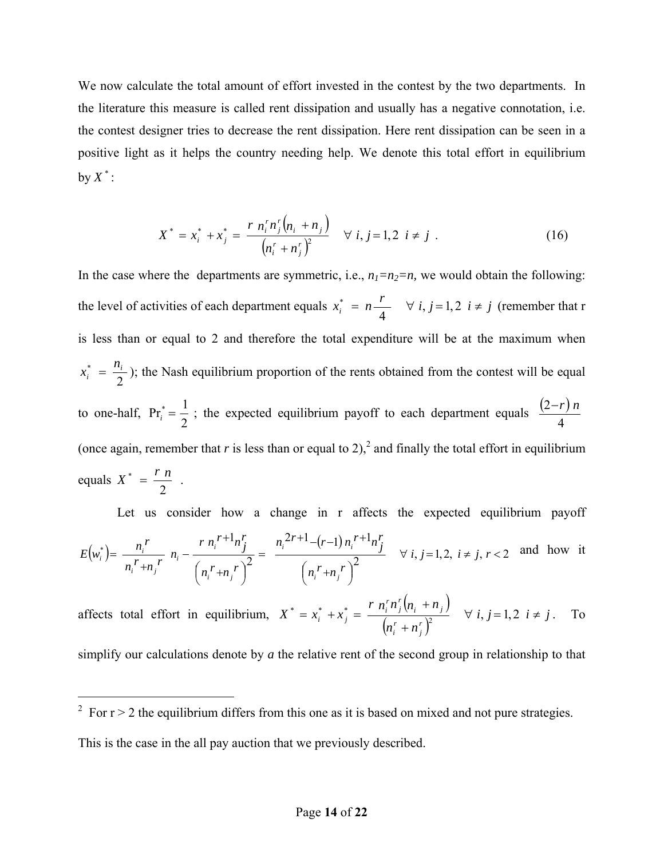We now calculate the total amount of effort invested in the contest by the two departments. In the literature this measure is called rent dissipation and usually has a negative connotation, i.e. the contest designer tries to decrease the rent dissipation. Here rent dissipation can be seen in a positive light as it helps the country needing help. We denote this total effort in equilibrium by  $X^*$  :

$$
X^* = x_i^* + x_j^* = \frac{r n_i^r n_j^r (n_i + n_j)}{(n_i^r + n_j^r)^2} \quad \forall \ i, j = 1, 2 \ i \neq j \ . \tag{16}
$$

In the case where the departments are symmetric, i.e.,  $n_1=n_2=n$ , we would obtain the following: the level of activities of each department equals  $x_i^* = n \frac{r}{4}$   $\forall i, j = 1, 2 \ i \neq j$  $i = n \frac{I}{I}$   $\forall i, j = 1, 2$   $i \neq j$  (remember that r is less than or equal to 2 and therefore the total expenditure will be at the maximum when 2  $\frac{i}{i} = \frac{n_i}{2}$  $x_i^* = \frac{n_i}{n_i}$ ; the Nash equilibrium proportion of the rents obtained from the contest will be equal to one-half,  $Pr_i^* = \frac{1}{2}$ ; the expected equilibrium payoff to each department equals  $\frac{(2-r)}{4}$ 2*r n* (once again, remember that  $r$  is less than or equal to 2),<sup>2</sup> and finally the total effort in equilibrium equals  $X^* = \frac{r n}{2}$ .

Let us consider how a change in r affects the expected equilibrium payoff  
\n
$$
E(w_i^*) = \frac{n_i^r}{n_i^r + n_j^r} n_i - \frac{r n_i^{r+1} n_j^r}{(n_i^r + n_j^r)^2} = \frac{n_i^{2r+1} - (r-1) n_i^{r+1} n_j^r}{(n_i^r + n_j^r)^2} \quad \forall i, j = 1, 2, i \neq j, r < 2 \text{ and how it}
$$

affects total effort in equilibrium,  $X^* = x_i^* + x_i^* = \frac{r n_i^r n_j^r (n_i + n_j)}{2}$  $\frac{(n_i^r + n_j^r)^2}{(n_i^r + n_i^r)^2}$   $\forall i, j = 1, 2 \ i \neq j$  $r n_i^r n_i^r (n_i + n_i)$  $X^* = x_i^* + x_j^* = \frac{f(x_i - x_j) x_i}{\sqrt{x_i^* + x_j^*}}$ *j r i*  $i$ <sup> $\top$  $\mu$ </sup>*j r*  $\int_i^r n_j^r$  $i_i^* + x_j^* = \frac{i n_i n_j (n_i + n_j)}{(n_i + n_j)^2}$   $\forall i, j = 1, 2$   $i \neq j$  $\ddot{}$  $x^* = x_i^* + x_j^* = \frac{r n_i^r n_j^r (n_i + n_j)}{(r_i - r_i)^2}$   $\forall i, j = 1, 2$   $i \neq j$ . To

simplify our calculations denote by *a* the relative rent of the second group in relationship to that

 $\overline{a}$ 

<sup>&</sup>lt;sup>2</sup> For  $r > 2$  the equilibrium differs from this one as it is based on mixed and not pure strategies.

This is the case in the all pay auction that we previously described.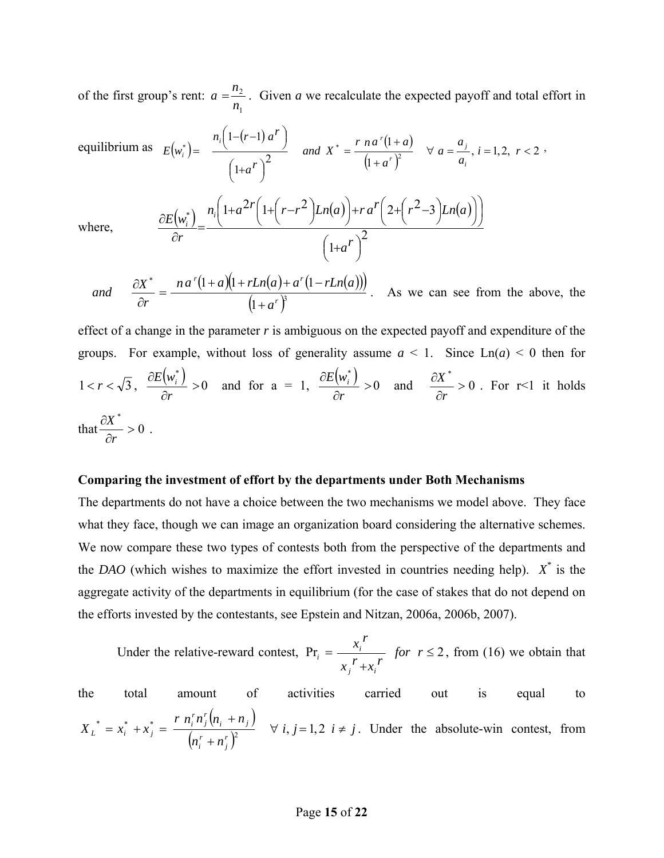of the first group's rent: 1 2 *n*  $a = \frac{n_2}{n_1}$ . Given *a* we recalculate the expected payoff and total effort in

equilibrium as 
$$
E(w_i^*) = \frac{n_i(1-(r-1) a^r)}{(1+a^r)^2}
$$
 and  $X^* = \frac{r n a^r (1+a)}{(1+a^r)^2} \quad \forall a = \frac{a_j}{a_i}, i = 1, 2, r < 2$ ,  
\nwhere,  $\frac{\partial E(w_i^*)}{\partial r} = \frac{n_i \left(1+a^{2r} \left(1+\left(r-r^2\right)Ln(a)\right)+r a^r \left(2+\left(r^2-3\right)Ln(a)\right)\right)}{\left(1+a^r\right)^2}$ 

 $(1+a)(1 + rLn(a) + a^{r}(1 - rLn(a)))$  $\frac{(1+a^r)^3 \cdots (1+a^r)(a^r)}{(1+a^r)^3}.$  $(1 + a)(1 + rLn(a) + a^{r}(1))$ 3 \* *r*  $r(1 - \alpha)(1 - rI_n(\alpha) + \alpha^r)$ *a*  $na^r(1+a)(1+ rLn(a)+a^r(1-rLn(a))$ *r and*  $\frac{\partial X}{\partial x}$  $\frac{\partial X^*}{\partial r} = \frac{na^r(1+a)(1+rln(a)+a^r(1-rln(a)))}{(1+a^r)^3}$ . As we can see from the above, the

effect of a change in the parameter *r* is ambiguous on the expected payoff and expenditure of the groups. For example, without loss of generality assume  $a \le 1$ . Since  $Ln(a) \le 0$  then for  $1 < r < \sqrt{3}$ ,  $\frac{\partial E(w_i^*)}{\partial y_i} > 0$  $>$  $\partial$  $\partial$ *r*  $\frac{E(w_i^*)}{2} > 0$  and for a = 1,  $\frac{\partial E(w_i^*)}{\partial x} > 0$  $>$  $\partial$  $\partial$ *r*  $\frac{E(w_i^*)}{2} > 0$  and  $\frac{\partial X^*}{\partial y} > 0$  $>$  $\partial$  $\partial$ *r*  $\frac{X^*}{\sigma} > 0$ . For r <1 it holds that  $\frac{dA}{dt} > 0$ \*  $>$  $\partial$  $\partial$ *r*  $\frac{X^*}{2} > 0$ .

#### **Comparing the investment of effort by the departments under Both Mechanisms**

The departments do not have a choice between the two mechanisms we model above. They face what they face, though we can image an organization board considering the alternative schemes. We now compare these two types of contests both from the perspective of the departments and the *DAO* (which wishes to maximize the effort invested in countries needing help).  $X^*$  is the aggregate activity of the departments in equilibrium (for the case of stakes that do not depend on the efforts invested by the contestants, see Epstein and Nitzan, 2006a, 2006b, 2007).

Under the relative-reward contest,  $Pr_i = \frac{r_i}{r}$  for  $r \leq 2$  $\ddot{}$  $=$   $\frac{\lambda_i}{\sqrt{r}}$  *for r*  $x_i^r$  +  $x_i^r$  $x_i^r$  $i^{\top \mathcal{A}}$ *i*  $\tau_i = \frac{x_i}{r_i}$  for  $r \leq 2$ , from (16) we obtain that

the total amount of activities carried out is equal to  $(n_{i} + n_{j})$  $\frac{(n_i^r + n_i^r)^2}{(n_i^r + n_i^r)^2}$   $\forall i, j = 1, 2 \ i \neq j$  $r n_i^r n_i^r (n_i + n_i)$  $X_L^* = x_i^* + x_j^* = \frac{X_i^* + Y_i^* + Y_i^*}{\sqrt{x_i^* + x_j^*}}$ *j r i*  $i \perp \mu_j$ *r*  $\int$ <sup>r</sup>  $\int$ <sup>r</sup>
<sub>*j*</sub>  $\mu_L^* = x_i^* + x_j^* = \frac{i \mu_i \mu_j (\mu_i + \mu_j)}{(x_i - x_i)^2}$   $\forall i, j = 1, 2, i \neq j$  $\ddot{}$  $x^* = x_i^* + x_j^* = \frac{r n_i^r n_j^r (n_i + n_j)}{(r_i - r_i)^2}$   $\forall i, j = 1, 2 \ i \neq j$ . Under the absolute-win contest, from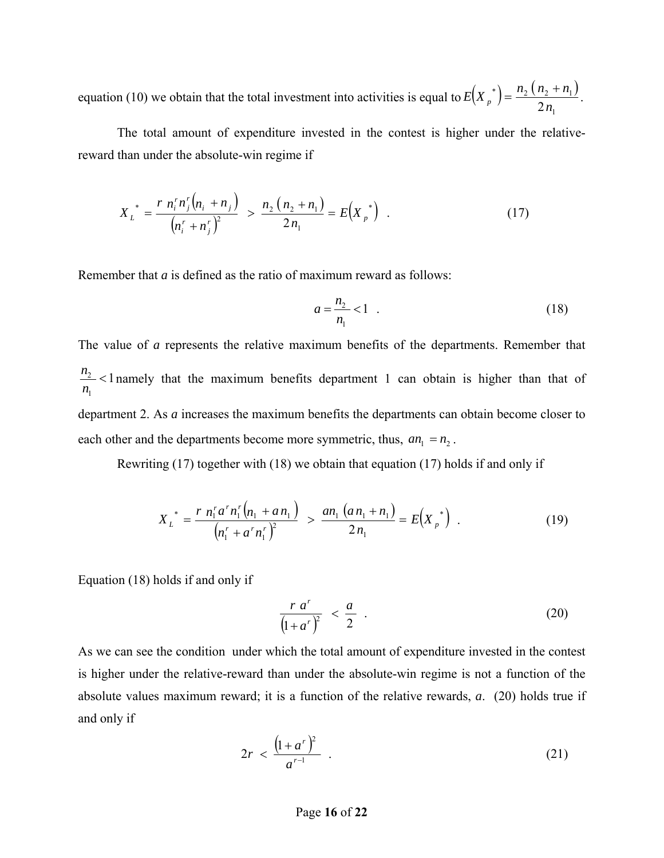equation (10) we obtain that the total investment into activities is equal to  $E(X_n^*) = \frac{n_2 (n_2 + n_1)}{2}$ 1 \*  $\binom{n_2}{1}$   $\binom{n_2 + n_1}{2}$  $E(X_p^*) = \frac{n_2 (n_2 + n_1)}{2n_1}.$ 

 The total amount of expenditure invested in the contest is higher under the relativereward than under the absolute-win regime if

$$
X_L^* = \frac{r n_i^r n_j^r (n_i + n_j)}{(n_i^r + n_j^r)^2} > \frac{n_2 (n_2 + n_1)}{2n_1} = E(X_p^*)
$$
 (17)

Remember that *a* is defined as the ratio of maximum reward as follows:

$$
a = \frac{n_2}{n_1} < 1 \tag{18}
$$

The value of *a* represents the relative maximum benefits of the departments. Remember that  $2 - 1$ 1 *n*  $n_2$  <1 namely that the maximum benefits department 1 can obtain is higher than that of department 2. As *a* increases the maximum benefits the departments can obtain become closer to each other and the departments become more symmetric, thus,  $an_1 = n_2$ .

Rewriting (17) together with (18) we obtain that equation (17) holds if and only if

$$
X_L^* = \frac{r n_1^r a^r n_1^r (n_1 + a n_1)}{(n_1^r + a^r n_1^r)^2} > \frac{a n_1 (a n_1 + n_1)}{2 n_1} = E(X_p^*)
$$
 (19)

Equation (18) holds if and only if

$$
\frac{r\ a^r}{\left(1+a^r\right)^2} < \frac{a}{2} \tag{20}
$$

As we can see the condition under which the total amount of expenditure invested in the contest is higher under the relative-reward than under the absolute-win regime is not a function of the absolute values maximum reward; it is a function of the relative rewards, *a*. (20) holds true if and only if

$$
2r < \frac{\left(1+a^r\right)^2}{a^{r-1}} \tag{21}
$$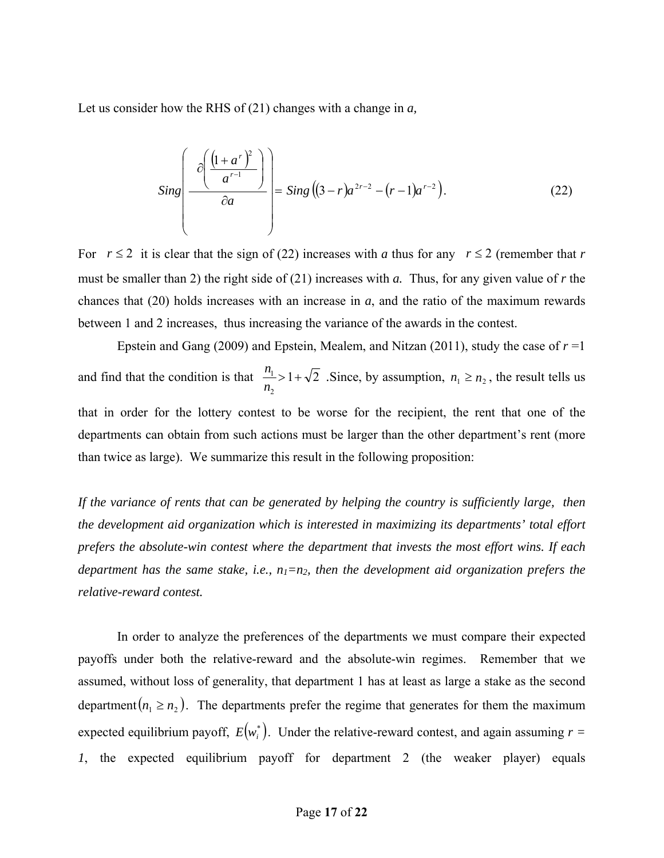Let us consider how the RHS of (21) changes with a change in *a*,

$$
Sing\left(\frac{\partial\left(\frac{(1+a^r)^2}{a^{r-1}}\right)}{\partial a}\right) = Sing\left((3-r)a^{2r-2}-(r-1)a^{r-2}\right).
$$
\n(22)

For  $r \le 2$  it is clear that the sign of (22) increases with *a* thus for any  $r \le 2$  (remember that *r* must be smaller than 2) the right side of (21) increases with *a.* Thus, for any given value of *r* the chances that (20) holds increases with an increase in *a*, and the ratio of the maximum rewards between 1 and 2 increases, thus increasing the variance of the awards in the contest.

Epstein and Gang (2009) and Epstein, Mealem, and Nitzan (2011), study the case of  $r = 1$ and find that the condition is that  $\frac{n_1}{2} > 1 + \sqrt{2}$ 2  $\frac{1}{2}$  > 1 +  $\frac{n_1}{n_2}$  > 1 +  $\sqrt{2}$  . Since, by assumption,  $n_1 \ge n_2$ , the result tells us that in order for the lottery contest to be worse for the recipient, the rent that one of the departments can obtain from such actions must be larger than the other department's rent (more than twice as large). We summarize this result in the following proposition:

*If the variance of rents that can be generated by helping the country is sufficiently large, then the development aid organization which is interested in maximizing its departments' total effort prefers the absolute-win contest where the department that invests the most effort wins. If each department has the same stake, i.e., n*<sub>1</sub>=n<sub>2</sub>, then the development aid organization prefers the *relative-reward contest.* 

 In order to analyze the preferences of the departments we must compare their expected payoffs under both the relative-reward and the absolute-win regimes. Remember that we assumed, without loss of generality, that department 1 has at least as large a stake as the second department  $(n_1 \ge n_2)$ . The departments prefer the regime that generates for them the maximum expected equilibrium payoff,  $E(w_i^*)$ . Under the relative-reward contest, and again assuming  $r =$ *1*, the expected equilibrium payoff for department 2 (the weaker player) equals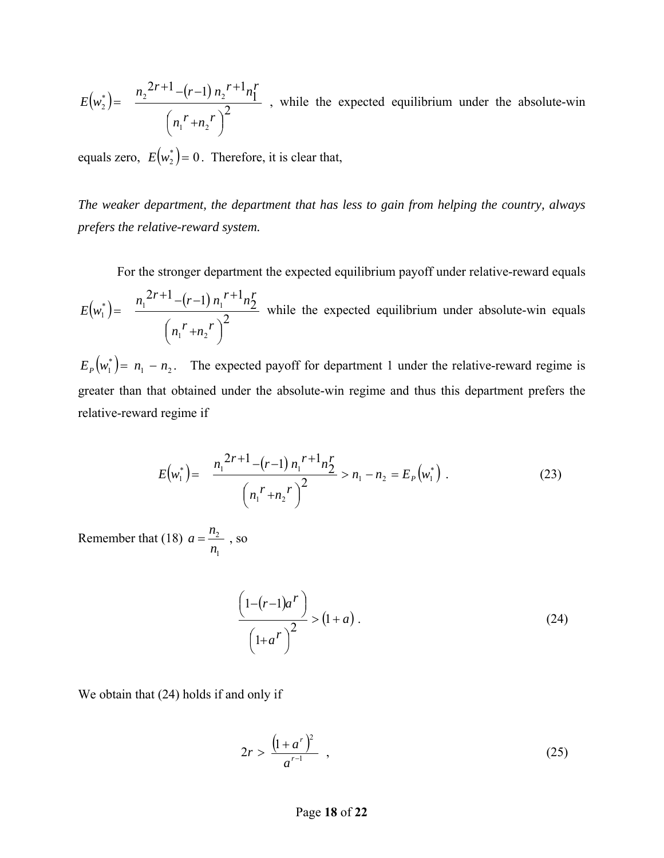$(w_2^*) = \frac{n_2^{2r+1}-(r-1)}{r}$ 2  $2r+1$  –(r-1)  $n_2$ <sup>r+1</sup> $n_1^r$  $1 \quad \text{m}_2$ \*  $\binom{n_2}{1}$   $\binom{n_1}{2}$ 2  $\left(n_1^r+n_2^r\right)$  $\left(n_1^r\right)$  $r^{+1}$  –  $(r-1) n r^{+}$  $=$  $n_1^r + n_2^r$  $n_2^{2r+1}$  –  $(r-1)$   $n_2^{r+1}$   $n_1^r$  $E(w_2^*) = \frac{w_2^2 + w_1^2 + w_2^2 + w_1^2}{2}$ , while the expected equilibrium under the absolute-win

equals zero,  $E(w_2^*)=0$ . Therefore, it is clear that,

*The weaker department, the department that has less to gain from helping the country, always prefers the relative-reward system.* 

For the stronger department the expected equilibrium payoff under relative-reward equals

 $(w_1^*) = \frac{n_1^2r+1-(r-1)}{r}$ 2  $2r+1$  –(r-1)  $n_1$ <sup>r+1</sup> $n_2$ <sup>r</sup>  $1 \quad \cdots$ \* 1  $\binom{n_1}{1}$   $\binom{n_1}{1}$ 1  $\left(n_1^r+n_2^r\right)$  $\left(n_1^r\right)$  $r^{+1}$  –(r-1)  $n_1$ <sup>r+</sup>  $=$  $n_1^r + n_2^r$  $n_1^{2r+1}$  –  $(r-1)$   $n_1^{r+1}n_2^r$  $E(w_1^*) = \frac{w_1^2 + w_2^2 + w_1^2 + w_2^2}{2}$  while the expected equilibrium under absolute-win equals

 $E_P(w_1^*) = n_1 - n_2$ . The expected payoff for department 1 under the relative-reward regime is greater than that obtained under the absolute-win regime and thus this department prefers the relative-reward regime if

$$
E(w_1^*) = \frac{n_1^{2r+1} - (r-1) n_1^{r+1} n_2^r}{\left(n_1^r + n_2^r\right)^2} > n_1 - n_2 = E_P(w_1^*)
$$
 (23)

Remember that (18) 1 2 *n*  $a = \frac{n_2}{n_1}$ , so

$$
\frac{\left(1-(r-1)a^{r}\right)}{\left(1+a^{r}\right)^{2}} > (1+a) \tag{24}
$$

We obtain that (24) holds if and only if

$$
2r > \frac{\left(1 + a^r\right)^2}{a^{r-1}} \tag{25}
$$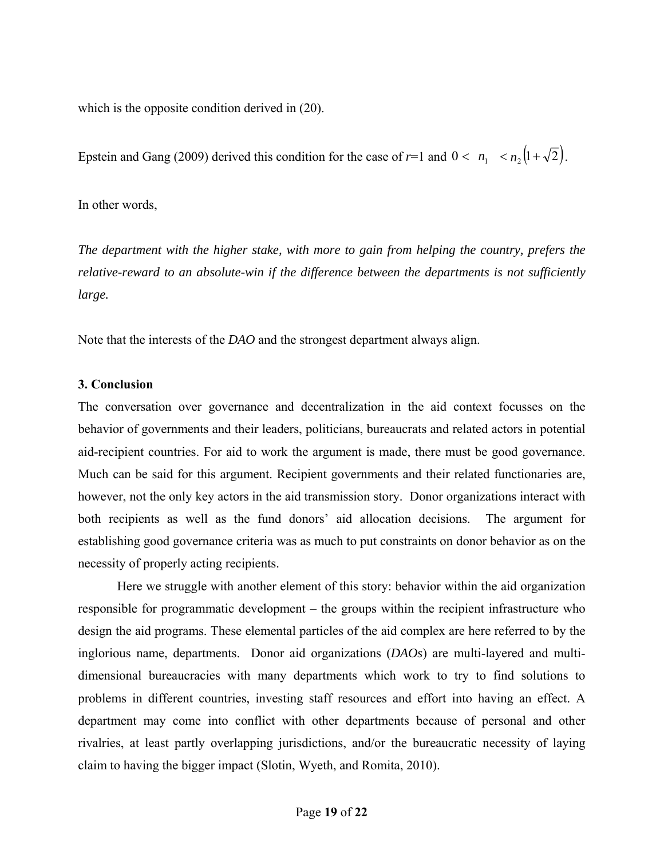which is the opposite condition derived in  $(20)$ .

Epstein and Gang (2009) derived this condition for the case of  $r=1$  and  $0 < n_1 < n_2 (1 + \sqrt{2})$ .

In other words,

*The department with the higher stake, with more to gain from helping the country, prefers the relative-reward to an absolute-win if the difference between the departments is not sufficiently large.* 

Note that the interests of the *DAO* and the strongest department always align.

#### **3. Conclusion**

The conversation over governance and decentralization in the aid context focusses on the behavior of governments and their leaders, politicians, bureaucrats and related actors in potential aid-recipient countries. For aid to work the argument is made, there must be good governance. Much can be said for this argument. Recipient governments and their related functionaries are, however, not the only key actors in the aid transmission story. Donor organizations interact with both recipients as well as the fund donors' aid allocation decisions. The argument for establishing good governance criteria was as much to put constraints on donor behavior as on the necessity of properly acting recipients.

Here we struggle with another element of this story: behavior within the aid organization responsible for programmatic development – the groups within the recipient infrastructure who design the aid programs. These elemental particles of the aid complex are here referred to by the inglorious name, departments. Donor aid organizations (*DAOs*) are multi-layered and multidimensional bureaucracies with many departments which work to try to find solutions to problems in different countries, investing staff resources and effort into having an effect. A department may come into conflict with other departments because of personal and other rivalries, at least partly overlapping jurisdictions, and/or the bureaucratic necessity of laying claim to having the bigger impact (Slotin, Wyeth, and Romita, 2010).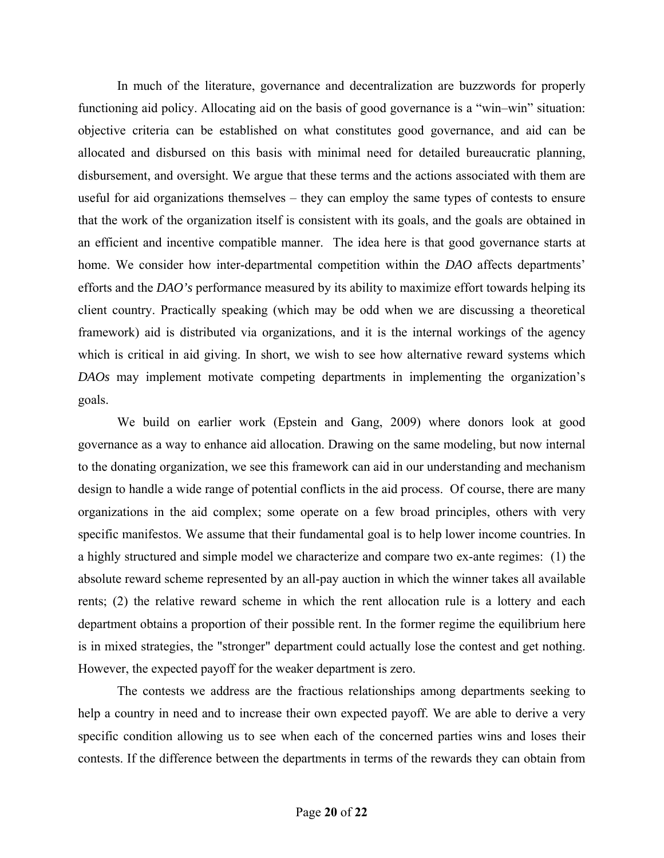In much of the literature, governance and decentralization are buzzwords for properly functioning aid policy. Allocating aid on the basis of good governance is a "win–win" situation: objective criteria can be established on what constitutes good governance, and aid can be allocated and disbursed on this basis with minimal need for detailed bureaucratic planning, disbursement, and oversight. We argue that these terms and the actions associated with them are useful for aid organizations themselves – they can employ the same types of contests to ensure that the work of the organization itself is consistent with its goals, and the goals are obtained in an efficient and incentive compatible manner. The idea here is that good governance starts at home. We consider how inter-departmental competition within the *DAO* affects departments' efforts and the *DAO's* performance measured by its ability to maximize effort towards helping its client country. Practically speaking (which may be odd when we are discussing a theoretical framework) aid is distributed via organizations, and it is the internal workings of the agency which is critical in aid giving. In short, we wish to see how alternative reward systems which *DAOs* may implement motivate competing departments in implementing the organization's goals.

We build on earlier work (Epstein and Gang, 2009) where donors look at good governance as a way to enhance aid allocation. Drawing on the same modeling, but now internal to the donating organization, we see this framework can aid in our understanding and mechanism design to handle a wide range of potential conflicts in the aid process. Of course, there are many organizations in the aid complex; some operate on a few broad principles, others with very specific manifestos. We assume that their fundamental goal is to help lower income countries. In a highly structured and simple model we characterize and compare two ex-ante regimes: (1) the absolute reward scheme represented by an all-pay auction in which the winner takes all available rents; (2) the relative reward scheme in which the rent allocation rule is a lottery and each department obtains a proportion of their possible rent. In the former regime the equilibrium here is in mixed strategies, the "stronger" department could actually lose the contest and get nothing. However, the expected payoff for the weaker department is zero.

 The contests we address are the fractious relationships among departments seeking to help a country in need and to increase their own expected payoff. We are able to derive a very specific condition allowing us to see when each of the concerned parties wins and loses their contests. If the difference between the departments in terms of the rewards they can obtain from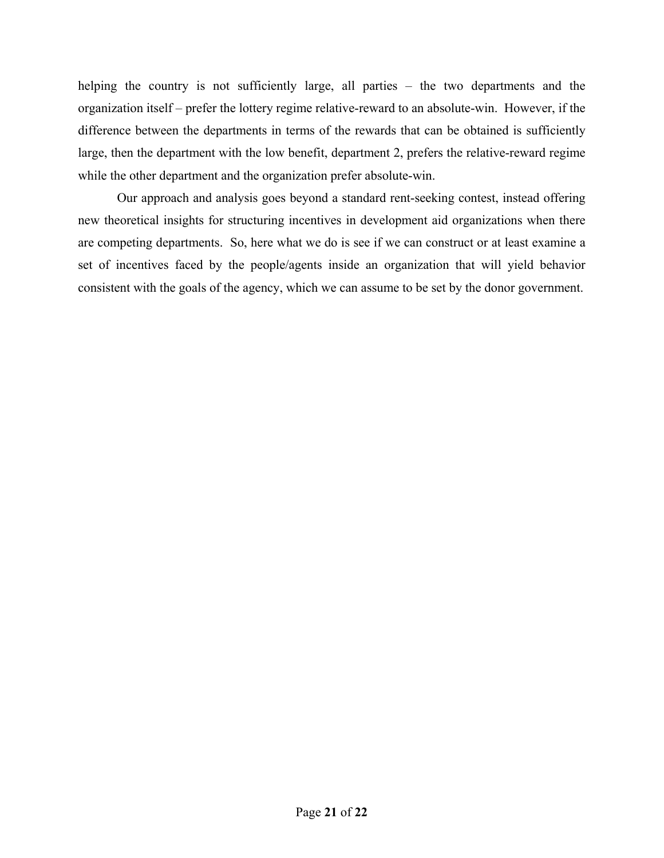helping the country is not sufficiently large, all parties – the two departments and the organization itself – prefer the lottery regime relative-reward to an absolute-win. However, if the difference between the departments in terms of the rewards that can be obtained is sufficiently large, then the department with the low benefit, department 2, prefers the relative-reward regime while the other department and the organization prefer absolute-win.

 Our approach and analysis goes beyond a standard rent-seeking contest, instead offering new theoretical insights for structuring incentives in development aid organizations when there are competing departments. So, here what we do is see if we can construct or at least examine a set of incentives faced by the people/agents inside an organization that will yield behavior consistent with the goals of the agency, which we can assume to be set by the donor government.